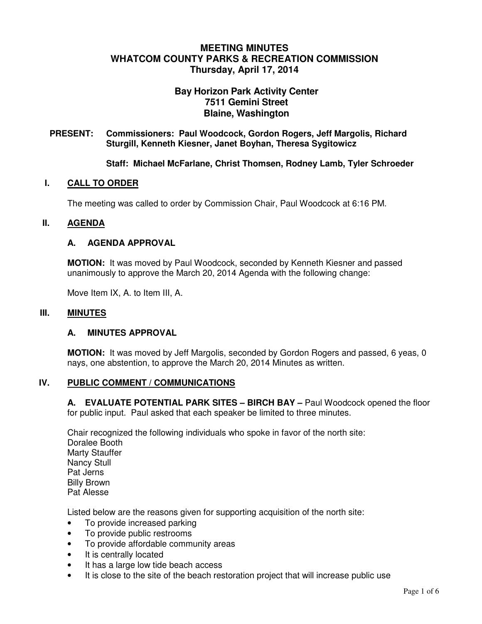# **MEETING MINUTES WHATCOM COUNTY PARKS & RECREATION COMMISSION Thursday, April 17, 2014**

# **Bay Horizon Park Activity Center 7511 Gemini Street Blaine, Washington**

### **PRESENT: Commissioners: Paul Woodcock, Gordon Rogers, Jeff Margolis, Richard Sturgill, Kenneth Kiesner, Janet Boyhan, Theresa Sygitowicz**

**Staff: Michael McFarlane, Christ Thomsen, Rodney Lamb, Tyler Schroeder** 

### **I. CALL TO ORDER**

The meeting was called to order by Commission Chair, Paul Woodcock at 6:16 PM.

### **II. AGENDA**

### **A. AGENDA APPROVAL**

**MOTION:** It was moved by Paul Woodcock, seconded by Kenneth Kiesner and passed unanimously to approve the March 20, 2014 Agenda with the following change:

Move Item IX, A. to Item III, A.

#### **III.** MINUTES

#### **A. MINUTES APPROVAL**

**MOTION:** It was moved by Jeff Margolis, seconded by Gordon Rogers and passed, 6 yeas, 0 nays, one abstention, to approve the March 20, 2014 Minutes as written.

### **IV. PUBLIC COMMENT / COMMUNICATIONS**

**A. EVALUATE POTENTIAL PARK SITES – BIRCH BAY –** Paul Woodcock opened the floor for public input. Paul asked that each speaker be limited to three minutes.

Chair recognized the following individuals who spoke in favor of the north site: Doralee Booth Marty Stauffer Nancy Stull Pat Jerns Billy Brown Pat Alesse

Listed below are the reasons given for supporting acquisition of the north site:

- To provide increased parking
- To provide public restrooms
- To provide affordable community areas
- It is centrally located
- It has a large low tide beach access
- It is close to the site of the beach restoration project that will increase public use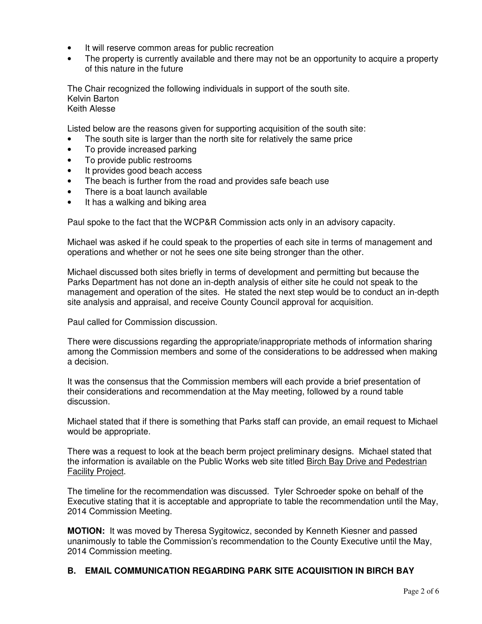- It will reserve common areas for public recreation
- The property is currently available and there may not be an opportunity to acquire a property of this nature in the future

The Chair recognized the following individuals in support of the south site. Kelvin Barton Keith Alesse

Listed below are the reasons given for supporting acquisition of the south site:

- The south site is larger than the north site for relatively the same price
- To provide increased parking
- To provide public restrooms
- It provides good beach access
- The beach is further from the road and provides safe beach use
- There is a boat launch available
- It has a walking and biking area

Paul spoke to the fact that the WCP&R Commission acts only in an advisory capacity.

Michael was asked if he could speak to the properties of each site in terms of management and operations and whether or not he sees one site being stronger than the other.

Michael discussed both sites briefly in terms of development and permitting but because the Parks Department has not done an in-depth analysis of either site he could not speak to the management and operation of the sites. He stated the next step would be to conduct an in-depth site analysis and appraisal, and receive County Council approval for acquisition.

Paul called for Commission discussion.

There were discussions regarding the appropriate/inappropriate methods of information sharing among the Commission members and some of the considerations to be addressed when making a decision.

It was the consensus that the Commission members will each provide a brief presentation of their considerations and recommendation at the May meeting, followed by a round table discussion.

Michael stated that if there is something that Parks staff can provide, an email request to Michael would be appropriate.

There was a request to look at the beach berm project preliminary designs. Michael stated that the information is available on the Public Works web site titled Birch Bay Drive and Pedestrian Facility Project.

The timeline for the recommendation was discussed. Tyler Schroeder spoke on behalf of the Executive stating that it is acceptable and appropriate to table the recommendation until the May, 2014 Commission Meeting.

**MOTION:** It was moved by Theresa Sygitowicz, seconded by Kenneth Kiesner and passed unanimously to table the Commission's recommendation to the County Executive until the May, 2014 Commission meeting.

## **B. EMAIL COMMUNICATION REGARDING PARK SITE ACQUISITION IN BIRCH BAY**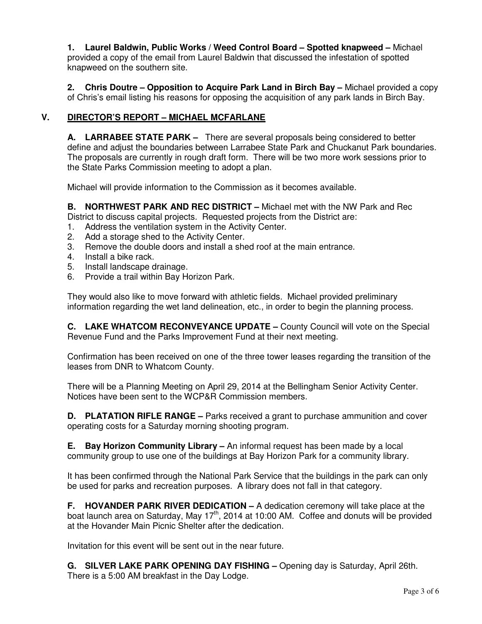**1. Laurel Baldwin, Public Works / Weed Control Board – Spotted knapweed –** Michael provided a copy of the email from Laurel Baldwin that discussed the infestation of spotted knapweed on the southern site.

**2. Chris Doutre – Opposition to Acquire Park Land in Birch Bay –** Michael provided a copy of Chris's email listing his reasons for opposing the acquisition of any park lands in Birch Bay.

## **V. DIRECTOR'S REPORT – MICHAEL MCFARLANE**

**A. LARRABEE STATE PARK –** There are several proposals being considered to better define and adjust the boundaries between Larrabee State Park and Chuckanut Park boundaries. The proposals are currently in rough draft form. There will be two more work sessions prior to the State Parks Commission meeting to adopt a plan.

Michael will provide information to the Commission as it becomes available.

**B. NORTHWEST PARK AND REC DISTRICT –** Michael met with the NW Park and Rec District to discuss capital projects. Requested projects from the District are:

- 1. Address the ventilation system in the Activity Center.
- 2. Add a storage shed to the Activity Center.
- 3. Remove the double doors and install a shed roof at the main entrance.
- 4. Install a bike rack.
- 5. Install landscape drainage.
- 6. Provide a trail within Bay Horizon Park.

They would also like to move forward with athletic fields. Michael provided preliminary information regarding the wet land delineation, etc., in order to begin the planning process.

**C. LAKE WHATCOM RECONVEYANCE UPDATE –** County Council will vote on the Special Revenue Fund and the Parks Improvement Fund at their next meeting.

Confirmation has been received on one of the three tower leases regarding the transition of the leases from DNR to Whatcom County.

There will be a Planning Meeting on April 29, 2014 at the Bellingham Senior Activity Center. Notices have been sent to the WCP&R Commission members.

**D. PLATATION RIFLE RANGE –** Parks received a grant to purchase ammunition and cover operating costs for a Saturday morning shooting program.

**E. Bay Horizon Community Library –** An informal request has been made by a local community group to use one of the buildings at Bay Horizon Park for a community library.

It has been confirmed through the National Park Service that the buildings in the park can only be used for parks and recreation purposes. A library does not fall in that category.

**F. HOVANDER PARK RIVER DEDICATION –** A dedication ceremony will take place at the boat launch area on Saturday, May 17<sup>th</sup>, 2014 at 10:00 AM. Coffee and donuts will be provided at the Hovander Main Picnic Shelter after the dedication.

Invitation for this event will be sent out in the near future.

**G. SILVER LAKE PARK OPENING DAY FISHING –** Opening day is Saturday, April 26th. There is a 5:00 AM breakfast in the Day Lodge.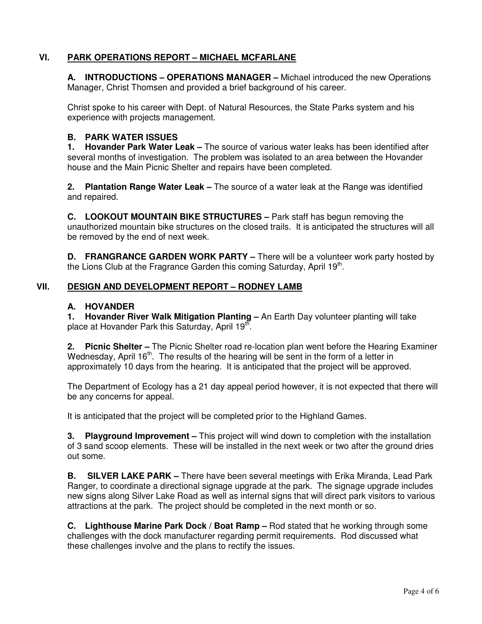## **VI. PARK OPERATIONS REPORT – MICHAEL MCFARLANE**

**A. INTRODUCTIONS – OPERATIONS MANAGER –** Michael introduced the new Operations Manager, Christ Thomsen and provided a brief background of his career.

Christ spoke to his career with Dept. of Natural Resources, the State Parks system and his experience with projects management.

## **B. PARK WATER ISSUES**

**1. Hovander Park Water Leak –** The source of various water leaks has been identified after several months of investigation. The problem was isolated to an area between the Hovander house and the Main Picnic Shelter and repairs have been completed.

**2. Plantation Range Water Leak –** The source of a water leak at the Range was identified and repaired.

**C. LOOKOUT MOUNTAIN BIKE STRUCTURES –** Park staff has begun removing the unauthorized mountain bike structures on the closed trails. It is anticipated the structures will all be removed by the end of next week.

**D. FRANGRANCE GARDEN WORK PARTY** – There will be a volunteer work party hosted by the Lions Club at the Fragrance Garden this coming Saturday, April 19<sup>th</sup>.

## **VII. DESIGN AND DEVELOPMENT REPORT – RODNEY LAMB**

## **A. HOVANDER**

**1. Hovander River Walk Mitigation Planting –** An Earth Day volunteer planting will take place at Hovander Park this Saturday, April 19 $^{\text{th}}$ .

**2. Picnic Shelter –** The Picnic Shelter road re-location plan went before the Hearing Examiner Wednesday, April  $16<sup>th</sup>$ . The results of the hearing will be sent in the form of a letter in approximately 10 days from the hearing. It is anticipated that the project will be approved.

The Department of Ecology has a 21 day appeal period however, it is not expected that there will be any concerns for appeal.

It is anticipated that the project will be completed prior to the Highland Games.

**3. Playground Improvement –** This project will wind down to completion with the installation of 3 sand scoop elements. These will be installed in the next week or two after the ground dries out some.

**B. SILVER LAKE PARK –** There have been several meetings with Erika Miranda, Lead Park Ranger, to coordinate a directional signage upgrade at the park. The signage upgrade includes new signs along Silver Lake Road as well as internal signs that will direct park visitors to various attractions at the park. The project should be completed in the next month or so.

**C. Lighthouse Marine Park Dock / Boat Ramp –** Rod stated that he working through some challenges with the dock manufacturer regarding permit requirements. Rod discussed what these challenges involve and the plans to rectify the issues.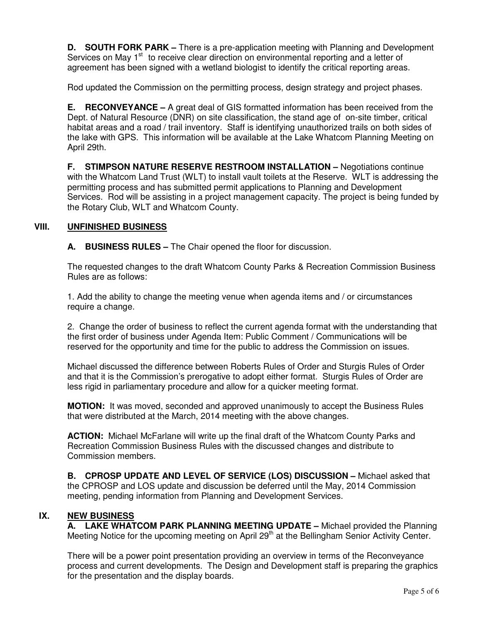**D. SOUTH FORK PARK –** There is a pre-application meeting with Planning and Development Services on May 1<sup>st</sup> to receive clear direction on environmental reporting and a letter of agreement has been signed with a wetland biologist to identify the critical reporting areas.

Rod updated the Commission on the permitting process, design strategy and project phases.

**E. RECONVEYANCE –** A great deal of GIS formatted information has been received from the Dept. of Natural Resource (DNR) on site classification, the stand age of on-site timber, critical habitat areas and a road / trail inventory. Staff is identifying unauthorized trails on both sides of the lake with GPS. This information will be available at the Lake Whatcom Planning Meeting on April 29th.

**F. STIMPSON NATURE RESERVE RESTROOM INSTALLATION –** Negotiations continue with the Whatcom Land Trust (WLT) to install vault toilets at the Reserve. WLT is addressing the permitting process and has submitted permit applications to Planning and Development Services. Rod will be assisting in a project management capacity. The project is being funded by the Rotary Club, WLT and Whatcom County.

## **VIII. UNFINISHED BUSINESS**

**A. BUSINESS RULES –** The Chair opened the floor for discussion.

The requested changes to the draft Whatcom County Parks & Recreation Commission Business Rules are as follows:

1. Add the ability to change the meeting venue when agenda items and / or circumstances require a change.

2. Change the order of business to reflect the current agenda format with the understanding that the first order of business under Agenda Item: Public Comment / Communications will be reserved for the opportunity and time for the public to address the Commission on issues.

Michael discussed the difference between Roberts Rules of Order and Sturgis Rules of Order and that it is the Commission's prerogative to adopt either format. Sturgis Rules of Order are less rigid in parliamentary procedure and allow for a quicker meeting format.

**MOTION:** It was moved, seconded and approved unanimously to accept the Business Rules that were distributed at the March, 2014 meeting with the above changes.

**ACTION:** Michael McFarlane will write up the final draft of the Whatcom County Parks and Recreation Commission Business Rules with the discussed changes and distribute to Commission members.

**B. CPROSP UPDATE AND LEVEL OF SERVICE (LOS) DISCUSSION –** Michael asked that the CPROSP and LOS update and discussion be deferred until the May, 2014 Commission meeting, pending information from Planning and Development Services.

## **IX. NEW BUSINESS**

**A. LAKE WHATCOM PARK PLANNING MEETING UPDATE –** Michael provided the Planning Meeting Notice for the upcoming meeting on April 29<sup>th</sup> at the Bellingham Senior Activity Center.

There will be a power point presentation providing an overview in terms of the Reconveyance process and current developments. The Design and Development staff is preparing the graphics for the presentation and the display boards.